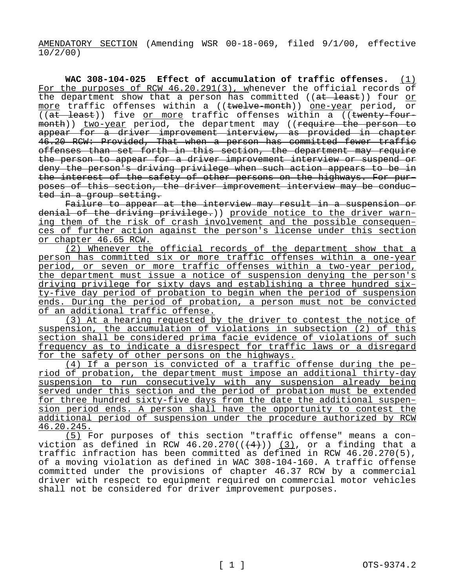AMENDATORY SECTION (Amending WSR 00-18-069, filed 9/1/00, effective 10/2/00)

**WAC 308-104-025 Effect of accumulation of traffic offenses.** (1) For the purposes of RCW 46.20.291(3), whenever the official records of the department show that a person has committed ((at least)) four or more traffic offenses within a ((twelve-month)) one-year period, or  $((at -least))$  five or more traffic offenses within a  $((t$ wenty-fourmonth)) two-year period, the department may ((require the person to appear for a driver improvement interview, as provided in chapter 46.20 RCW: Provided, That when a person has committed fewer traffic offenses than set forth in this section, the department may require the person to appear for a driver improvement interview or suspend or deny the person's driving privilege when such action appears to be in the interest of the safety of other persons on the highways. For purposes of this section, the driver improvement interview may be conducted in a group setting.

Failure to appear at the interview may result in a suspension or denial of the driving privilege.)) provide notice to the driver warning them of the risk of crash involvement and the possible consequences of further action against the person's license under this section or chapter 46.65 RCW.

(2) Whenever the official records of the department show that a person has committed six or more traffic offenses within a one-year period, or seven or more traffic offenses within a two-year period, the department must issue a notice of suspension denying the person's driving privilege for sixty days and establishing a three hundred sixty-five day period of probation to begin when the period of suspension ends. During the period of probation, a person must not be convicted of an additional traffic offense.

(3) At a hearing requested by the driver to contest the notice of suspension, the accumulation of violations in subsection (2) of this section shall be considered prima facie evidence of violations of such frequency as to indicate a disrespect for traffic laws or a disregard for the safety of other persons on the highways.

(4) If a person is convicted of a traffic offense during the period of probation, the department must impose an additional thirty-day suspension to run consecutively with any suspension already being served under this section and the period of probation must be extended for three hundred sixty-five days from the date the additional suspension period ends. A person shall have the opportunity to contest the additional period of suspension under the procedure authorized by RCW 46.20.245.

(5) For purposes of this section "traffic offense" means a conviction as defined in RCW 46.20.270( $($  $($ 4 $)$ ))  $($ 3), or a finding that a traffic infraction has been committed as defined in RCW 46.20.270(5), of a moving violation as defined in WAC 308-104-160. A traffic offense committed under the provisions of chapter 46.37 RCW by a commercial driver with respect to equipment required on commercial motor vehicles shall not be considered for driver improvement purposes.